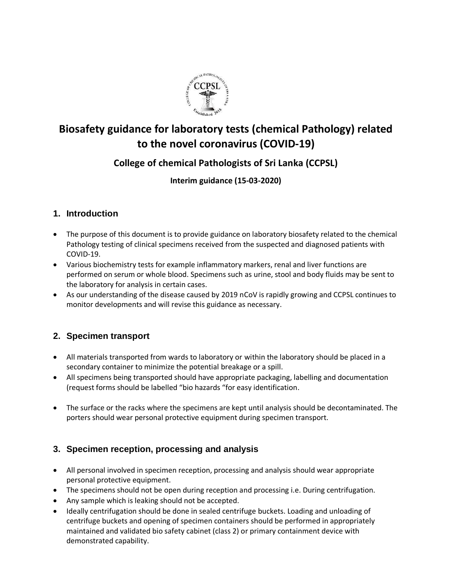

# **Biosafety guidance for laboratory tests (chemical Pathology) related to the novel coronavirus (COVID-19)**

## **College of chemical Pathologists of Sri Lanka (CCPSL)**

## **Interim guidance (15-03-2020)**

## **1. Introduction**

- The purpose of this document is to provide guidance on laboratory biosafety related to the chemical Pathology testing of clinical specimens received from the suspected and diagnosed patients with COVID-19.
- Various biochemistry tests for example inflammatory markers, renal and liver functions are performed on serum or whole blood. Specimens such as urine, stool and body fluids may be sent to the laboratory for analysis in certain cases.
- As our understanding of the disease caused by 2019 nCoV is rapidly growing and CCPSL continues to monitor developments and will revise this guidance as necessary.

## **2. Specimen transport**

- All materials transported from wards to laboratory or within the laboratory should be placed in a secondary container to minimize the potential breakage or a spill.
- All specimens being transported should have appropriate packaging, labelling and documentation (request forms should be labelled "bio hazards "for easy identification.
- The surface or the racks where the specimens are kept until analysis should be decontaminated. The porters should wear personal protective equipment during specimen transport.

#### **3. Specimen reception, processing and analysis**

- All personal involved in specimen reception, processing and analysis should wear appropriate personal protective equipment.
- The specimens should not be open during reception and processing i.e. During centrifugation.
- Any sample which is leaking should not be accepted.
- Ideally centrifugation should be done in sealed centrifuge buckets. Loading and unloading of centrifuge buckets and opening of specimen containers should be performed in appropriately maintained and validated bio safety cabinet (class 2) or primary containment device with demonstrated capability.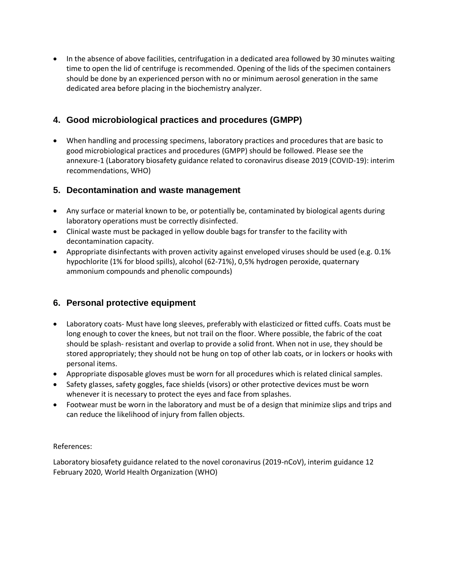• In the absence of above facilities, centrifugation in a dedicated area followed by 30 minutes waiting time to open the lid of centrifuge is recommended. Opening of the lids of the specimen containers should be done by an experienced person with no or minimum aerosol generation in the same dedicated area before placing in the biochemistry analyzer.

## **4. Good microbiological practices and procedures (GMPP)**

 When handling and processing specimens, laboratory practices and procedures that are basic to good microbiological practices and procedures (GMPP) should be followed. Please see the annexure-1 (Laboratory biosafety guidance related to coronavirus disease 2019 (COVID-19): interim recommendations, WHO)

#### **5. Decontamination and waste management**

- Any surface or material known to be, or potentially be, contaminated by biological agents during laboratory operations must be correctly disinfected.
- Clinical waste must be packaged in yellow double bags for transfer to the facility with decontamination capacity.
- Appropriate disinfectants with proven activity against enveloped viruses should be used (e.g. 0.1% hypochlorite (1% for blood spills), alcohol (62-71%), 0,5% hydrogen peroxide, quaternary ammonium compounds and phenolic compounds)

#### **6. Personal protective equipment**

- Laboratory coats- Must have long sleeves, preferably with elasticized or fitted cuffs. Coats must be long enough to cover the knees, but not trail on the floor. Where possible, the fabric of the coat should be splash- resistant and overlap to provide a solid front. When not in use, they should be stored appropriately; they should not be hung on top of other lab coats, or in lockers or hooks with personal items.
- Appropriate disposable gloves must be worn for all procedures which is related clinical samples.
- Safety glasses, safety goggles, face shields (visors) or other protective devices must be worn whenever it is necessary to protect the eyes and face from splashes.
- Footwear must be worn in the laboratory and must be of a design that minimize slips and trips and can reduce the likelihood of injury from fallen objects.

#### References:

Laboratory biosafety guidance related to the novel coronavirus (2019-nCoV), interim guidance 12 February 2020, World Health Organization (WHO)